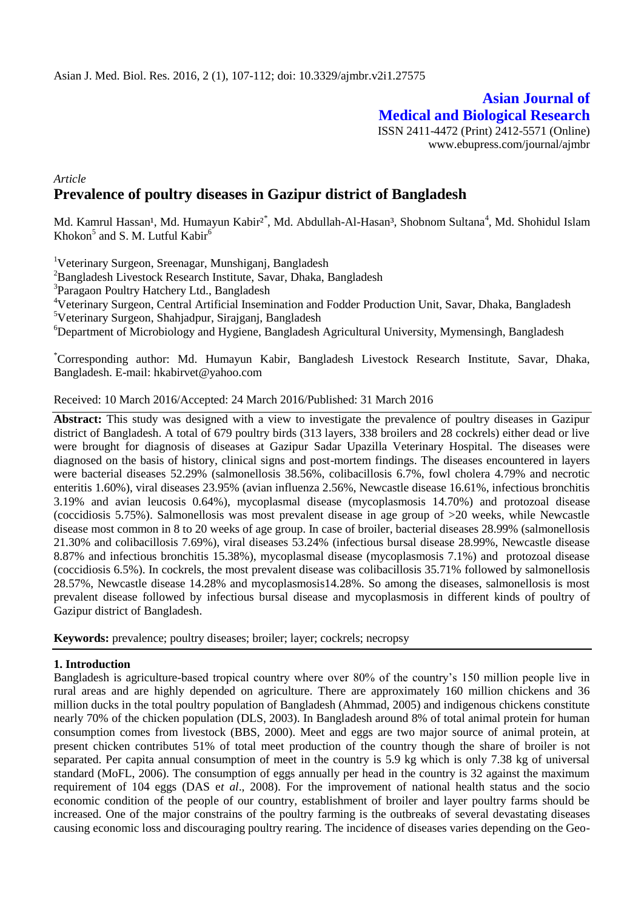**Asian Journal of Medical and Biological Research** ISSN 2411-4472 (Print) 2412-5571 (Online) www.ebupress.com/journal/ajmbr

# *Article* **Prevalence of poultry diseases in Gazipur district of Bangladesh**

Md. Kamrul Hassan<sup>1</sup>, Md. Humayun Kabir<sup>2\*</sup>, Md. Abdullah-Al-Hasan<sup>3</sup>, Shobnom Sultana<sup>4</sup>, Md. Shohidul Islam Khokon $<sup>5</sup>$  and S. M. Lutful Kabir $<sup>6</sup>$ </sup></sup>

<sup>1</sup>Veterinary Surgeon, Sreenagar, Munshiganj, Bangladesh

<sup>2</sup>Bangladesh Livestock Research Institute, Savar, Dhaka, Bangladesh

<sup>3</sup>Paragaon Poultry Hatchery Ltd., Bangladesh

<sup>4</sup>Veterinary Surgeon, Central Artificial Insemination and Fodder Production Unit, Savar, Dhaka, Bangladesh <sup>5</sup>Veterinary Surgeon, Shahjadpur, Sirajganj, Bangladesh

<sup>6</sup>Department of Microbiology and Hygiene, Bangladesh Agricultural University, Mymensingh, Bangladesh

\*Corresponding author: Md. Humayun Kabir, Bangladesh Livestock Research Institute, Savar, Dhaka, Bangladesh. E-mail: hkabirvet@yahoo.com

### Received: 10 March 2016/Accepted: 24 March 2016/Published: 31 March 2016

**Abstract:** This study was designed with a view to investigate the prevalence of poultry diseases in Gazipur district of Bangladesh. A total of 679 poultry birds (313 layers, 338 broilers and 28 cockrels) either dead or live were brought for diagnosis of diseases at Gazipur Sadar Upazilla Veterinary Hospital. The diseases were diagnosed on the basis of history, clinical signs and post-mortem findings. The diseases encountered in layers were bacterial diseases 52.29% (salmonellosis 38.56%, colibacillosis 6.7%, fowl cholera 4.79% and necrotic enteritis 1.60%), viral diseases 23.95% (avian influenza 2.56%, Newcastle disease 16.61%, infectious bronchitis 3.19% and avian leucosis 0.64%), mycoplasmal disease (mycoplasmosis 14.70%) and protozoal disease (coccidiosis 5.75%). Salmonellosis was most prevalent disease in age group of >20 weeks, while Newcastle disease most common in 8 to 20 weeks of age group. In case of broiler, bacterial diseases 28.99% (salmonellosis 21.30% and colibacillosis 7.69%), viral diseases 53.24% (infectious bursal disease 28.99%, Newcastle disease 8.87% and infectious bronchitis 15.38%), mycoplasmal disease (mycoplasmosis 7.1%) and protozoal disease (coccidiosis 6.5%). In cockrels, the most prevalent disease was colibacillosis 35.71% followed by salmonellosis 28.57%, Newcastle disease 14.28% and mycoplasmosis14.28%. So among the diseases, salmonellosis is most prevalent disease followed by infectious bursal disease and mycoplasmosis in different kinds of poultry of Gazipur district of Bangladesh.

**Keywords:** prevalence; poultry diseases; broiler; layer; cockrels; necropsy

### **1. Introduction**

Bangladesh is agriculture-based tropical country where over 80% of the country's 150 million people live in rural areas and are highly depended on agriculture. There are approximately 160 million chickens and 36 million ducks in the total poultry population of Bangladesh (Ahmmad, 2005) and indigenous chickens constitute nearly 70% of the chicken population (DLS, 2003). In Bangladesh around 8% of total animal protein for human consumption comes from livestock (BBS, 2000). Meet and eggs are two major source of animal protein, at present chicken contributes 51% of total meet production of the country though the share of broiler is not separated. Per capita annual consumption of meet in the country is 5.9 kg which is only 7.38 kg of universal standard (MoFL, 2006). The consumption of eggs annually per head in the country is 32 against the maximum requirement of 104 eggs (DAS e*t al*., 2008). For the improvement of national health status and the socio economic condition of the people of our country, establishment of broiler and layer poultry farms should be increased. One of the major constrains of the poultry farming is the outbreaks of several devastating diseases causing economic loss and discouraging poultry rearing. The incidence of diseases varies depending on the Geo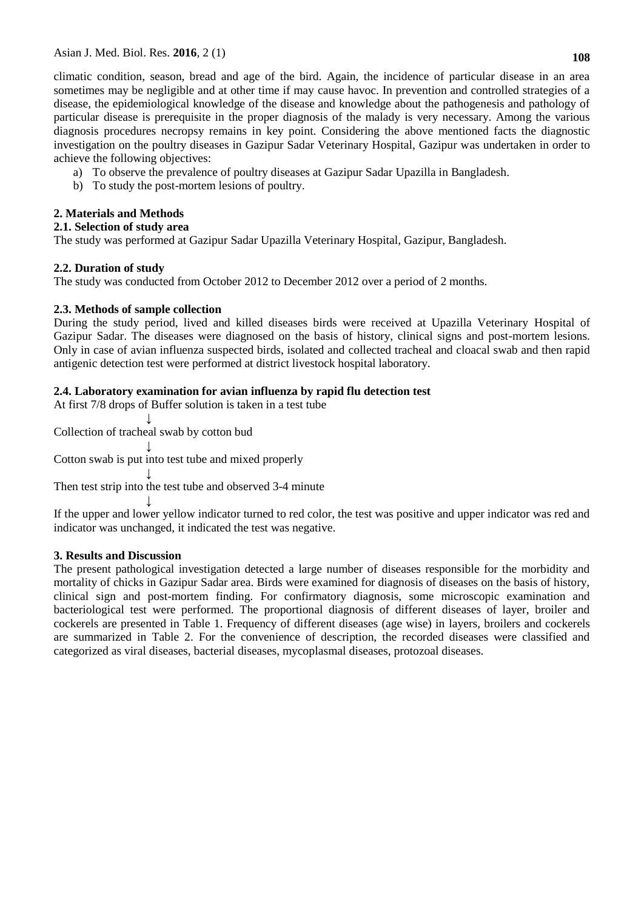climatic condition, season, bread and age of the bird. Again, the incidence of particular disease in an area sometimes may be negligible and at other time if may cause havoc. In prevention and controlled strategies of a disease, the epidemiological knowledge of the disease and knowledge about the pathogenesis and pathology of particular disease is prerequisite in the proper diagnosis of the malady is very necessary. Among the various diagnosis procedures necropsy remains in key point. Considering the above mentioned facts the diagnostic investigation on the poultry diseases in Gazipur Sadar Veterinary Hospital, Gazipur was undertaken in order to achieve the following objectives:

- a) To observe the prevalence of poultry diseases at Gazipur Sadar Upazilla in Bangladesh.
- b) To study the post-mortem lesions of poultry.

# **2. Materials and Methods**

## **2.1. Selection of study area**

The study was performed at Gazipur Sadar Upazilla Veterinary Hospital, Gazipur, Bangladesh.

## **2.2. Duration of study**

The study was conducted from October 2012 to December 2012 over a period of 2 months.

# **2.3. Methods of sample collection**

During the study period, lived and killed diseases birds were received at Upazilla Veterinary Hospital of Gazipur Sadar. The diseases were diagnosed on the basis of history, clinical signs and post-mortem lesions. Only in case of avian influenza suspected birds, isolated and collected tracheal and cloacal swab and then rapid antigenic detection test were performed at district livestock hospital laboratory.

# **2.4. Laboratory examination for avian influenza by rapid flu detection test**

At first 7/8 drops of Buffer solution is taken in a test tube

 ↓ Collection of tracheal swab by cotton bud

 ↓ Cotton swab is put into test tube and mixed properly

 ↓ Then test strip into the test tube and observed 3-4 minute

 ↓ If the upper and lower yellow indicator turned to red color, the test was positive and upper indicator was red and indicator was unchanged, it indicated the test was negative.

## **3. Results and Discussion**

The present pathological investigation detected a large number of diseases responsible for the morbidity and mortality of chicks in Gazipur Sadar area. Birds were examined for diagnosis of diseases on the basis of history, clinical sign and post-mortem finding. For confirmatory diagnosis, some microscopic examination and bacteriological test were performed. The proportional diagnosis of different diseases of layer, broiler and cockerels are presented in Table 1. Frequency of different diseases (age wise) in layers, broilers and cockerels are summarized in Table 2. For the convenience of description, the recorded diseases were classified and categorized as viral diseases, bacterial diseases, mycoplasmal diseases, protozoal diseases.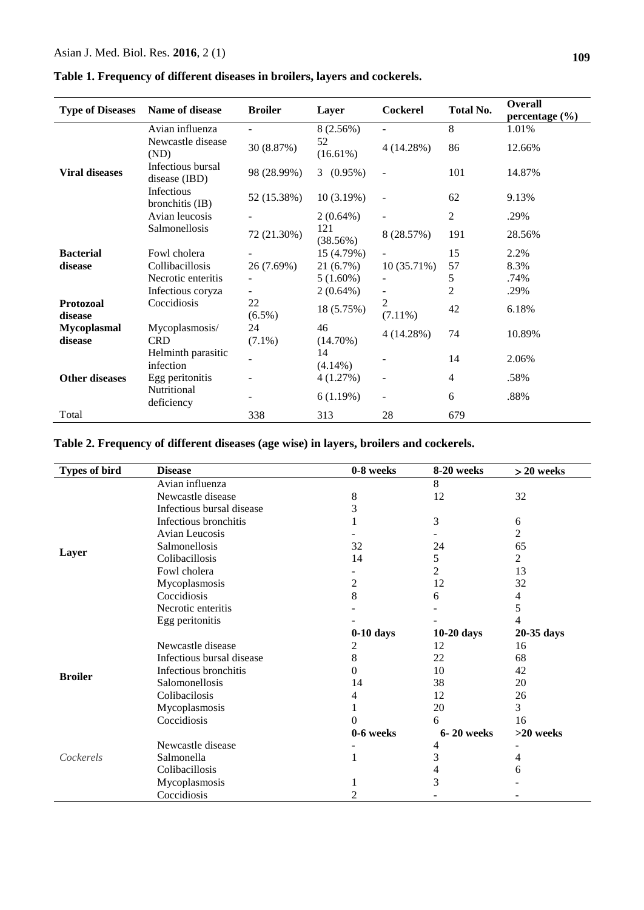# **Table 1. Frequency of different diseases in broilers, layers and cockerels.**

| <b>Type of Diseases</b>       | Name of disease                    | <b>Broiler</b>           | Layer             | <b>Cockerel</b>              | <b>Total No.</b> | <b>Overall</b>              |
|-------------------------------|------------------------------------|--------------------------|-------------------|------------------------------|------------------|-----------------------------|
|                               | Avian influenza                    |                          | 8 (2.56%)         |                              | 8                | percentage $(\% )$<br>1.01% |
| <b>Viral diseases</b>         | Newcastle disease<br>(ND)          | 30 (8.87%)               | 52<br>$(16.61\%)$ | 4(14.28%)                    | 86               | 12.66%                      |
|                               | Infectious bursal<br>disease (IBD) | 98 (28.99%)              | $(0.95\%)$<br>3   |                              | 101              | 14.87%                      |
|                               | Infectious<br>bronchitis (IB)      | 52 (15.38%)              | 10(3.19%)         |                              | 62               | 9.13%                       |
|                               | Avian leucosis                     |                          | $2(0.64\%)$       | $\overline{a}$               | $\overline{c}$   | .29%                        |
|                               | Salmonellosis                      | 72 (21.30%)              | 121<br>(38.56%)   | 8 (28.57%)                   | 191              | 28.56%                      |
| <b>Bacterial</b>              | Fowl cholera                       |                          | 15 (4.79%)        |                              | 15               | 2.2%                        |
| disease                       | Collibacillosis                    | 26 (7.69%)               | 21(6.7%)          | 10(35.71%)                   | 57               | 8.3%                        |
|                               | Necrotic enteritis                 |                          | $5(1.60\%)$       | $\overline{\phantom{a}}$     | 5                | .74%                        |
|                               | Infectious coryza                  | $\overline{\phantom{0}}$ | $2(0.64\%)$       | $\overline{\phantom{a}}$     | $\overline{c}$   | .29%                        |
| <b>Protozoal</b><br>disease   | Coccidiosis                        | 22<br>$(6.5\%)$          | 18 (5.75%)        | $\overline{2}$<br>$(7.11\%)$ | 42               | 6.18%                       |
| <b>Mycoplasmal</b><br>disease | Mycoplasmosis/<br><b>CRD</b>       | 24<br>$(7.1\%)$          | 46<br>$(14.70\%)$ | 4(14.28%)                    | 74               | 10.89%                      |
|                               | Helminth parasitic<br>infection    |                          | 14<br>$(4.14\%)$  |                              | 14               | 2.06%                       |
| <b>Other diseases</b>         | Egg peritonitis                    |                          | 4(1.27%)          | $\overline{\phantom{a}}$     | 4                | .58%                        |
|                               | Nutritional<br>deficiency          |                          | 6(1.19%)          | $\overline{\phantom{a}}$     | 6                | .88%                        |
| Total                         |                                    | 338                      | 313               | 28                           | 679              |                             |

**Table 2. Frequency of different diseases (age wise) in layers, broilers and cockerels.**

| <b>Types of bird</b> | <b>Disease</b>            | 0-8 weeks   | 8-20 weeks   | $> 20$ weeks |
|----------------------|---------------------------|-------------|--------------|--------------|
| Layer                | Avian influenza           |             | 8            |              |
|                      | Newcastle disease         | 8           | 12           | 32           |
|                      | Infectious bursal disease | 3           |              |              |
|                      | Infectious bronchitis     |             | 3            | 6            |
|                      | Avian Leucosis            |             |              | 2            |
|                      | Salmonellosis             | 32          | 24           | 65           |
|                      | Colibacillosis            | 14          | 5            | 2            |
|                      | Fowl cholera              |             | 2            | 13           |
|                      | Mycoplasmosis             | 2           | 12           | 32           |
|                      | Coccidiosis               | 8           | 6            | 4            |
|                      | Necrotic enteritis        |             |              | 5            |
|                      | Egg peritonitis           |             |              | 4            |
|                      |                           | $0-10$ days | $10-20$ days | 20-35 days   |
| <b>Broiler</b>       | Newcastle disease         | 2           | 12           | 16           |
|                      | Infectious bursal disease | 8           | 22           | 68           |
|                      | Infectious bronchitis     | 0           | 10           | 42           |
|                      | Salomonellosis            | 14          | 38           | 20           |
|                      | Colibacilosis             | 4           | 12           | 26           |
|                      | Mycoplasmosis             |             | 20           | 3            |
|                      | Coccidiosis               |             | 6            | 16           |
|                      |                           | 0-6 weeks   | 6-20 weeks   | >20 weeks    |
| Cockerels            | Newcastle disease         |             | 4            |              |
|                      | Salmonella                |             | 3            | 4            |
|                      | Colibacillosis            |             | 4            | 6            |
|                      | Mycoplasmosis             |             | 3            |              |
|                      | Coccidiosis               | 2           |              |              |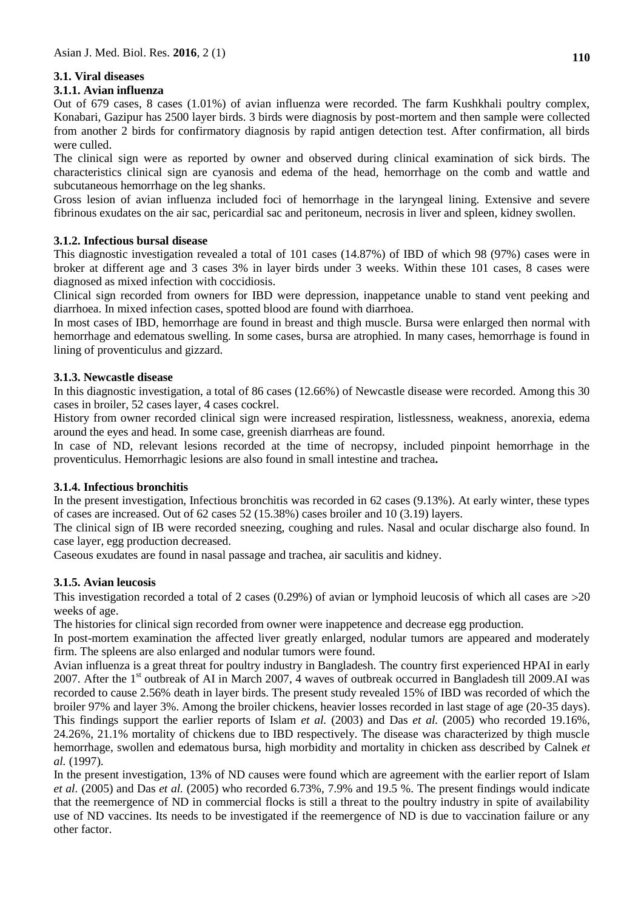# **3.1. Viral diseases**

### **3.1.1. Avian influenza**

Out of 679 cases, 8 cases (1.01%) of avian influenza were recorded. The farm Kushkhali poultry complex, Konabari, Gazipur has 2500 layer birds. 3 birds were diagnosis by post-mortem and then sample were collected from another 2 birds for confirmatory diagnosis by rapid antigen detection test. After confirmation, all birds were culled.

The clinical sign were as reported by owner and observed during clinical examination of sick birds. The characteristics clinical sign are cyanosis and edema of the head, hemorrhage on the comb and wattle and subcutaneous hemorrhage on the leg shanks.

Gross lesion of avian influenza included foci of hemorrhage in the laryngeal lining. Extensive and severe fibrinous exudates on the air sac, pericardial sac and peritoneum, necrosis in liver and spleen, kidney swollen.

## **3.1.2. Infectious bursal disease**

This diagnostic investigation revealed a total of 101 cases (14.87%) of IBD of which 98 (97%) cases were in broker at different age and 3 cases 3% in layer birds under 3 weeks. Within these 101 cases, 8 cases were diagnosed as mixed infection with coccidiosis.

Clinical sign recorded from owners for IBD were depression, inappetance unable to stand vent peeking and diarrhoea. In mixed infection cases, spotted blood are found with diarrhoea.

In most cases of IBD, hemorrhage are found in breast and thigh muscle. Bursa were enlarged then normal with hemorrhage and edematous swelling. In some cases, bursa are atrophied. In many cases, hemorrhage is found in lining of proventiculus and gizzard.

## **3.1.3. Newcastle disease**

In this diagnostic investigation, a total of 86 cases (12.66%) of Newcastle disease were recorded. Among this 30 cases in broiler, 52 cases layer, 4 cases cockrel.

History from owner recorded clinical sign were increased respiration, listlessness, weakness, anorexia, edema around the eyes and head. In some case, greenish diarrheas are found.

In case of ND, relevant lesions recorded at the time of necropsy, included pinpoint hemorrhage in the proventiculus. Hemorrhagic lesions are also found in small intestine and trachea**.** 

### **3.1.4. Infectious bronchitis**

In the present investigation, Infectious bronchitis was recorded in 62 cases (9.13%). At early winter, these types of cases are increased. Out of 62 cases 52 (15.38%) cases broiler and 10 (3.19) layers.

The clinical sign of IB were recorded sneezing, coughing and rules. Nasal and ocular discharge also found. In case layer, egg production decreased.

Caseous exudates are found in nasal passage and trachea, air saculitis and kidney.

## **3.1.5. Avian leucosis**

This investigation recorded a total of 2 cases (0.29%) of avian or lymphoid leucosis of which all cases are  $>20$ weeks of age.

The histories for clinical sign recorded from owner were inappetence and decrease egg production.

In post-mortem examination the affected liver greatly enlarged, nodular tumors are appeared and moderately firm. The spleens are also enlarged and nodular tumors were found.

Avian influenza is a great threat for poultry industry in Bangladesh. The country first experienced HPAI in early 2007. After the 1<sup>st</sup> outbreak of AI in March 2007, 4 waves of outbreak occurred in Bangladesh till 2009.AI was recorded to cause 2.56% death in layer birds. The present study revealed 15% of IBD was recorded of which the broiler 97% and layer 3%. Among the broiler chickens, heavier losses recorded in last stage of age (20-35 days). This findings support the earlier reports of Islam *et al.* (2003) and Das *et al.* (2005) who recorded 19.16%, 24.26%, 21.1% mortality of chickens due to IBD respectively. The disease was characterized by thigh muscle hemorrhage, swollen and edematous bursa, high morbidity and mortality in chicken ass described by Calnek *et al.* (1997).

In the present investigation, 13% of ND causes were found which are agreement with the earlier report of Islam *et al.* (2005) and Das *et al.* (2005) who recorded 6.73%, 7.9% and 19.5 %. The present findings would indicate that the reemergence of ND in commercial flocks is still a threat to the poultry industry in spite of availability use of ND vaccines. Its needs to be investigated if the reemergence of ND is due to vaccination failure or any other factor.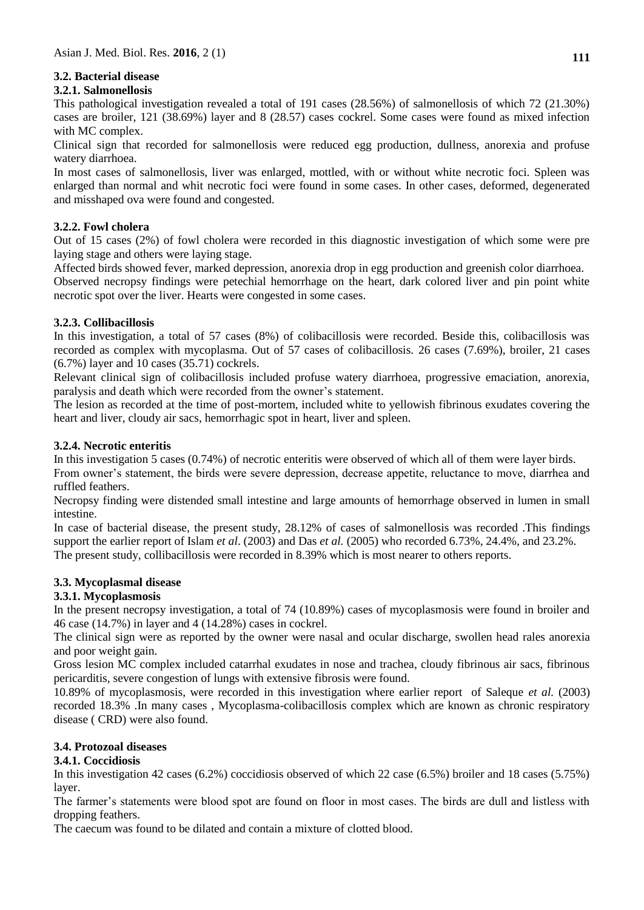# **3.2. Bacterial disease**

## **3.2.1. Salmonellosis**

This pathological investigation revealed a total of 191 cases (28.56%) of salmonellosis of which 72 (21.30%) cases are broiler, 121 (38.69%) layer and 8 (28.57) cases cockrel. Some cases were found as mixed infection with MC complex.

Clinical sign that recorded for salmonellosis were reduced egg production, dullness, anorexia and profuse watery diarrhoea.

In most cases of salmonellosis, liver was enlarged, mottled, with or without white necrotic foci. Spleen was enlarged than normal and whit necrotic foci were found in some cases. In other cases, deformed, degenerated and misshaped ova were found and congested.

## **3.2.2. Fowl cholera**

Out of 15 cases (2%) of fowl cholera were recorded in this diagnostic investigation of which some were pre laying stage and others were laying stage.

Affected birds showed fever, marked depression, anorexia drop in egg production and greenish color diarrhoea. Observed necropsy findings were petechial hemorrhage on the heart, dark colored liver and pin point white necrotic spot over the liver. Hearts were congested in some cases.

## **3.2.3. Collibacillosis**

In this investigation, a total of 57 cases (8%) of colibacillosis were recorded. Beside this, colibacillosis was recorded as complex with mycoplasma. Out of 57 cases of colibacillosis. 26 cases (7.69%), broiler, 21 cases (6.7%) layer and 10 cases (35.71) cockrels.

Relevant clinical sign of colibacillosis included profuse watery diarrhoea, progressive emaciation, anorexia, paralysis and death which were recorded from the owner's statement.

The lesion as recorded at the time of post-mortem, included white to yellowish fibrinous exudates covering the heart and liver, cloudy air sacs, hemorrhagic spot in heart, liver and spleen.

## **3.2.4. Necrotic enteritis**

In this investigation 5 cases (0.74%) of necrotic enteritis were observed of which all of them were layer birds. From owner's statement, the birds were severe depression, decrease appetite, reluctance to move, diarrhea and ruffled feathers.

Necropsy finding were distended small intestine and large amounts of hemorrhage observed in lumen in small intestine.

In case of bacterial disease, the present study, 28.12% of cases of salmonellosis was recorded .This findings support the earlier report of Islam *et al*. (2003) and Das *et al.* (2005) who recorded 6.73%, 24.4%, and 23.2%. The present study, collibacillosis were recorded in 8.39% which is most nearer to others reports.

### **3.3. Mycoplasmal disease**

## **3.3.1. Mycoplasmosis**

In the present necropsy investigation, a total of 74 (10.89%) cases of mycoplasmosis were found in broiler and 46 case (14.7%) in layer and 4 (14.28%) cases in cockrel.

The clinical sign were as reported by the owner were nasal and ocular discharge, swollen head rales anorexia and poor weight gain.

Gross lesion MC complex included catarrhal exudates in nose and trachea, cloudy fibrinous air sacs, fibrinous pericarditis, severe congestion of lungs with extensive fibrosis were found.

10.89% of mycoplasmosis, were recorded in this investigation where earlier report of Saleque *et al.* (2003) recorded 18.3% .In many cases , Mycoplasma-colibacillosis complex which are known as chronic respiratory disease ( CRD) were also found.

## **3.4. Protozoal diseases**

### **3.4.1. Coccidiosis**

In this investigation 42 cases (6.2%) coccidiosis observed of which 22 case (6.5%) broiler and 18 cases (5.75%) layer.

The farmer's statements were blood spot are found on floor in most cases. The birds are dull and listless with dropping feathers.

The caecum was found to be dilated and contain a mixture of clotted blood.